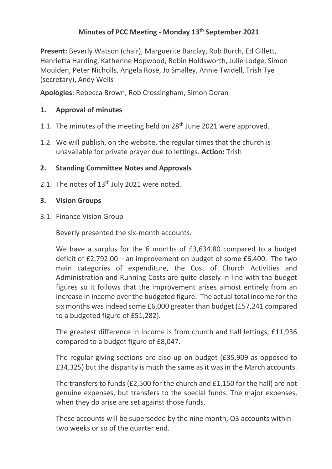# **Minutes of PCC Meeting - Monday 13th September 2021**

**Present:** Beverly Watson (chair), Marguerite Barclay, Rob Burch, Ed Gillett, Henrietta Harding, Katherine Hopwood, Robin Holdsworth, Julie Lodge, Simon Moulden, Peter Nicholls, Angela Rose, Jo Smalley, Annie Twidell, Trish Tye (secretary), Andy Wells

**Apologies**: Rebecca Brown, Rob Crossingham, Simon Doran

# **1. Approval of minutes**

- 1.1. The minutes of the meeting held on  $28<sup>th</sup>$  June 2021 were approved.
- 1.2. We will publish, on the website, the regular times that the church is unavailable for private prayer due to lettings. **Action:** Trish

## **2. Standing Committee Notes and Approvals**

2.1. The notes of 13<sup>th</sup> July 2021 were noted.

## **3. Vision Groups**

3.1. Finance Vision Group

Beverly presented the six-month accounts.

We have a surplus for the 6 months of £3,634.80 compared to a budget deficit of £2,792.00 – an improvement on budget of some £6,400. The two main categories of expenditure, the Cost of Church Activities and Administration and Running Costs are quite closely in line with the budget figures so it follows that the improvement arises almost entirely from an increase in income over the budgeted figure. The actual total income for the six months was indeed some £6,000 greater than budget (£57,241 compared to a budgeted figure of £51,282).

The greatest difference in income is from church and hall lettings, £11,936 compared to a budget figure of £8,047.

The regular giving sections are also up on budget (£35,909 as opposed to £34,325) but the disparity is much the same as it was in the March accounts.

The transfers to funds (£2,500 for the church and £1,150 for the hall) are not genuine expenses, but transfers to the special funds. The major expenses, when they do arise are set against those funds.

These accounts will be superseded by the nine month, Q3 accounts within two weeks or so of the quarter end.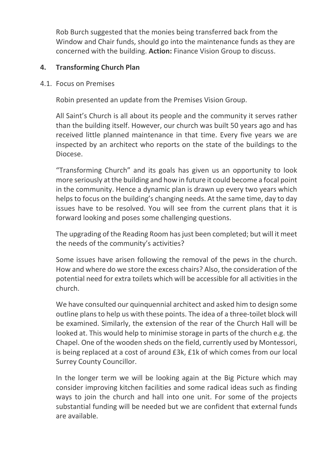Rob Burch suggested that the monies being transferred back from the Window and Chair funds, should go into the maintenance funds as they are concerned with the building. **Action:** Finance Vision Group to discuss.

### **4. Transforming Church Plan**

4.1. Focus on Premises

Robin presented an update from the Premises Vision Group.

All Saint's Church is all about its people and the community it serves rather than the building itself. However, our church was built 50 years ago and has received little planned maintenance in that time. Every five years we are inspected by an architect who reports on the state of the buildings to the Diocese.

"Transforming Church" and its goals has given us an opportunity to look more seriously at the building and how in future it could become a focal point in the community. Hence a dynamic plan is drawn up every two years which helps to focus on the building's changing needs. At the same time, day to day issues have to be resolved. You will see from the current plans that it is forward looking and poses some challenging questions.

The upgrading of the Reading Room has just been completed; but will it meet the needs of the community's activities?

Some issues have arisen following the removal of the pews in the church. How and where do we store the excess chairs? Also, the consideration of the potential need for extra toilets which will be accessible for all activities in the church.

We have consulted our quinquennial architect and asked him to design some outline plans to help us with these points. The idea of a three-toilet block will be examined. Similarly, the extension of the rear of the Church Hall will be looked at. This would help to minimise storage in parts of the church e.g. the Chapel. One of the wooden sheds on the field, currently used by Montessori, is being replaced at a cost of around £3k, £1k of which comes from our local Surrey County Councillor.

In the longer term we will be looking again at the Big Picture which may consider improving kitchen facilities and some radical ideas such as finding ways to join the church and hall into one unit. For some of the projects substantial funding will be needed but we are confident that external funds are available.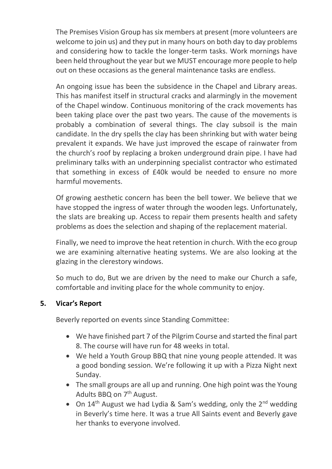The Premises Vision Group has six members at present (more volunteers are welcome to join us) and they put in many hours on both day to day problems and considering how to tackle the longer-term tasks. Work mornings have been held throughout the year but we MUST encourage more people to help out on these occasions as the general maintenance tasks are endless.

An ongoing issue has been the subsidence in the Chapel and Library areas. This has manifest itself in structural cracks and alarmingly in the movement of the Chapel window. Continuous monitoring of the crack movements has been taking place over the past two years. The cause of the movements is probably a combination of several things. The clay subsoil is the main candidate. In the dry spells the clay has been shrinking but with water being prevalent it expands. We have just improved the escape of rainwater from the church's roof by replacing a broken underground drain pipe. I have had preliminary talks with an underpinning specialist contractor who estimated that something in excess of £40k would be needed to ensure no more harmful movements.

Of growing aesthetic concern has been the bell tower. We believe that we have stopped the ingress of water through the wooden legs. Unfortunately, the slats are breaking up. Access to repair them presents health and safety problems as does the selection and shaping of the replacement material.

Finally, we need to improve the heat retention in church. With the eco group we are examining alternative heating systems. We are also looking at the glazing in the clerestory windows.

So much to do, But we are driven by the need to make our Church a safe, comfortable and inviting place for the whole community to enjoy.

# **5. Vicar's Report**

Beverly reported on events since Standing Committee:

- We have finished part 7 of the Pilgrim Course and started the final part 8. The course will have run for 48 weeks in total.
- We held a Youth Group BBQ that nine young people attended. It was a good bonding session. We're following it up with a Pizza Night next Sunday.
- The small groups are all up and running. One high point was the Young Adults BBQ on 7<sup>th</sup> August.
- On  $14<sup>th</sup>$  August we had Lydia & Sam's wedding, only the  $2<sup>nd</sup>$  wedding in Beverly's time here. It was a true All Saints event and Beverly gave her thanks to everyone involved.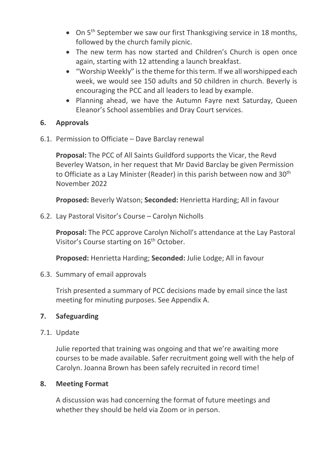- On 5<sup>th</sup> September we saw our first Thanksgiving service in 18 months, followed by the church family picnic.
- The new term has now started and Children's Church is open once again, starting with 12 attending a launch breakfast.
- "Worship Weekly" is the theme for this term. If we all worshipped each week, we would see 150 adults and 50 children in church. Beverly is encouraging the PCC and all leaders to lead by example.
- Planning ahead, we have the Autumn Fayre next Saturday, Queen Eleanor's School assemblies and Dray Court services.

## **6. Approvals**

6.1. Permission to Officiate – Dave Barclay renewal

**Proposal:** The PCC of All Saints Guildford supports the Vicar, the Revd Beverley Watson, in her request that Mr David Barclay be given Permission to Officiate as a Lay Minister (Reader) in this parish between now and 30<sup>th</sup> November 2022

**Proposed:** Beverly Watson; **Seconded:** Henrietta Harding; All in favour

6.2. Lay Pastoral Visitor's Course – Carolyn Nicholls

**Proposal:** The PCC approve Carolyn Nicholl's attendance at the Lay Pastoral Visitor's Course starting on 16<sup>th</sup> October.

**Proposed:** Henrietta Harding; **Seconded:** Julie Lodge; All in favour

6.3. Summary of email approvals

Trish presented a summary of PCC decisions made by email since the last meeting for minuting purposes. See Appendix A.

# **7. Safeguarding**

7.1. Update

Julie reported that training was ongoing and that we're awaiting more courses to be made available. Safer recruitment going well with the help of Carolyn. Joanna Brown has been safely recruited in record time!

### **8. Meeting Format**

A discussion was had concerning the format of future meetings and whether they should be held via Zoom or in person.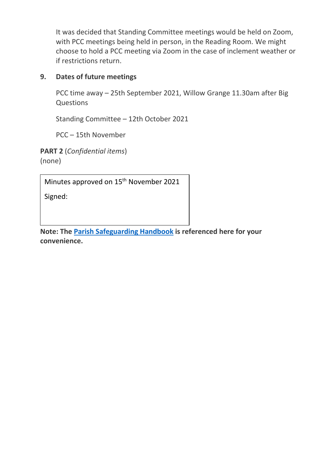It was decided that Standing Committee meetings would be held on Zoom, with PCC meetings being held in person, in the Reading Room. We might choose to hold a PCC meeting via Zoom in the case of inclement weather or if restrictions return.

## **9. Dates of future meetings**

PCC time away – 25th September 2021, Willow Grange 11.30am after Big Questions

Standing Committee – 12th October 2021

PCC – 15th November

**PART 2** (*Confidential items*) (none)

Minutes approved on 15<sup>th</sup> November 2021

Signed:

**Note: The [Parish Safeguarding Handbook](https://www.churchofengland.org/sites/default/files/2019-03/Parish%20Safeguarding%20Handbook%20March%202019.pdf) is referenced here for your convenience.**